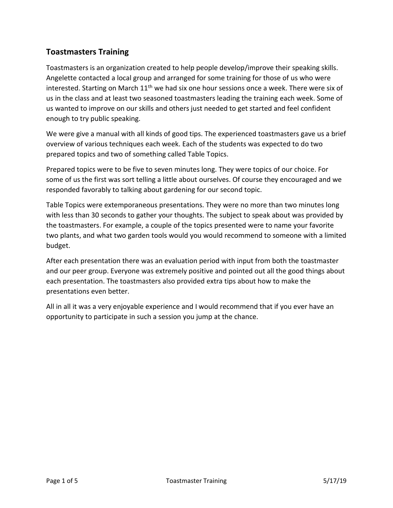## **Toastmasters Training**

Toastmasters is an organization created to help people develop/improve their speaking skills. Angelette contacted a local group and arranged for some training for those of us who were interested. Starting on March  $11<sup>th</sup>$  we had six one hour sessions once a week. There were six of us in the class and at least two seasoned toastmasters leading the training each week. Some of us wanted to improve on our skills and others just needed to get started and feel confident enough to try public speaking.

We were give a manual with all kinds of good tips. The experienced toastmasters gave us a brief overview of various techniques each week. Each of the students was expected to do two prepared topics and two of something called Table Topics.

Prepared topics were to be five to seven minutes long. They were topics of our choice. For some of us the first was sort telling a little about ourselves. Of course they encouraged and we responded favorably to talking about gardening for our second topic.

Table Topics were extemporaneous presentations. They were no more than two minutes long with less than 30 seconds to gather your thoughts. The subject to speak about was provided by the toastmasters. For example, a couple of the topics presented were to name your favorite two plants, and what two garden tools would you would recommend to someone with a limited budget.

After each presentation there was an evaluation period with input from both the toastmaster and our peer group. Everyone was extremely positive and pointed out all the good things about each presentation. The toastmasters also provided extra tips about how to make the presentations even better.

All in all it was a very enjoyable experience and I would recommend that if you ever have an opportunity to participate in such a session you jump at the chance.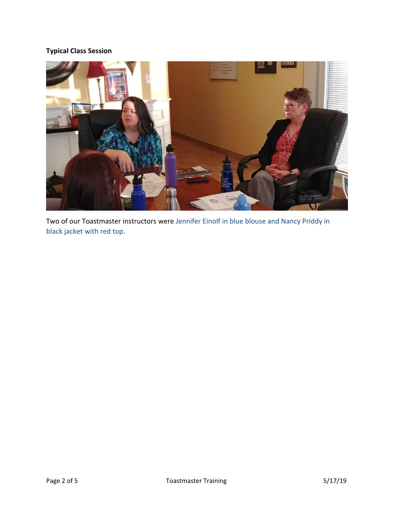## **Typical Class Session**



Two of our Toastmaster instructors were Jennifer Einolf in blue blouse and Nancy Priddy in black jacket with red top.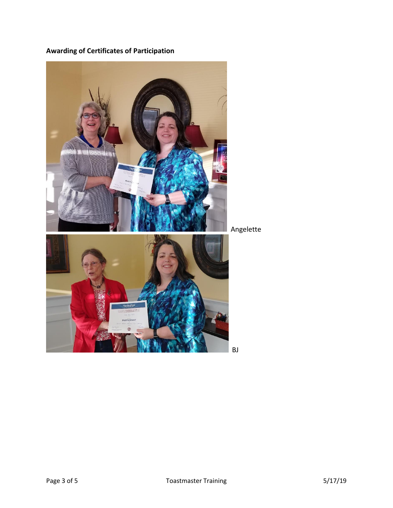**Awarding of Certificates of Participation**



Angelette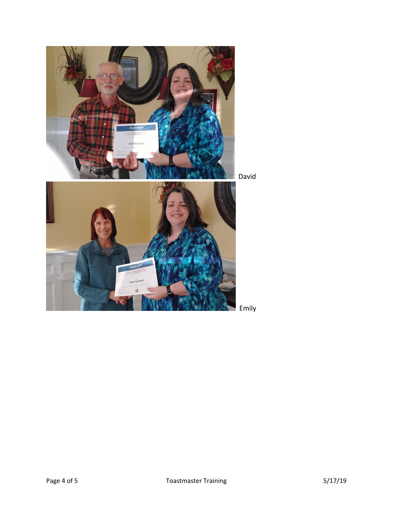